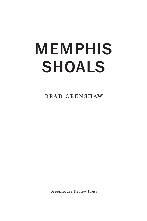## MEMPHIS SHOALS

brad crenshaw

Greenhouse Review Press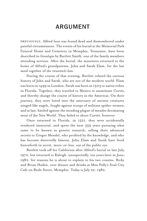## ARGUMENT

previously, Alfred Ison was found dead and dismembered under painful circumstances. The events of his burial at the Memorial Park Funeral Home and Cemetery in Memphis, Tennessee, have been described in *Genealogies* by Bartlett Smith, one of the family members attending services. After the burial, the mourners returned to the home of Alfred's grandparents, John and Sarah Elam, for the last meal together of the reunited clan.

During the course of that evening, Bartlett related the curious history of John and Sarah, who are not of the modern world. Elam was born in 1499 in London; Sarah was born in 1503 to native tribes in Florida. Together, they traveled to Mexico to assassinate Cortés, and thereby change the course of history in the Americas. On their journey, they were lured into the sanctuary of ancient creatures winged like angels, fought against troops of militant spider-women, and at last, battled against the invading plague of measles decimating most of the New World. They failed to shoot Cortés, however.

Once returned to Florida, in 1521, they were accidentally rendered immortal, and spent the next 359 years pursuing what came to be known as genetic research, selling their advanced secrets to Gregor Mendel, who profited by the knowledge, and who has become deservedly famous. John Elam and Sarah have lived henceforth in secret, more-or-less, out of the public eye.

Bartlett took off for California after Alfred's burial in late July, 1972, but returned to Raleigh, unexpectedly, ten years later in June, 1982, for reasons he is about to explain to his two cousins, Ricky and Brian Haden, over dinner and drinks at Miss Polly's Soul City Cafe on Beale Street, Memphis. Today is July 22, 1982.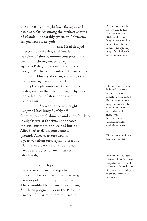YEARS AGO you might have thought, as I did once, faring among the farthest crowds of islands, unbearably green, in Polynesia, ringed with stone gods,

that I had dodged ancestral prophesies, and finally was shut of ghosts, momentous gossip and the family doom, never to repair again to Raleigh. I mean, I absolutely thought I'd cleared my mind. For years I slept beside the blue-eyed ocean, courting every hour pouring over in the surf among the agile muses on their boards by day, and on the beach by night, by fires beneath a wash of stars handsome in the high air.

So yeah, once you might imagine I had lunged safely off from my accomplishments and ends. My latest lovely failure at the time had thrown me out, amicably, and we had buried Alfred, after all, in consecrated ground. Also, everyone within a year was silent once again, blessedly. Elam reined back his offended blasts, I made apologies for my mistakes with Sarah,

## and eloped

exactly over burned bridges to escape the facts and sad truths passing for a way of life I thought was mine. There wouldn't be for me any running Southern judgment, as in the Bible, so I'm grateful for my enemies. I made

Bartlett relates his adventures to his favorite cousins, Ricky and Brian Haden, who are his best friends in the family, though they may often fail each other as brothers.

The ancient Greeks believed the nine muses all were female, which suited Bartlett—for whom inspiration is erotic at its core, hence uncontrollable, intrusive, inconvenient, uncomfortable, and often tricky.

The consecrated part had been at risk.

In a sad, misguided variant of Sophoclean tragedy, Bartlett had taken an adopted son's liberty with his adoptive mother, which was not rewarded.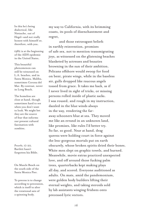In this he's being dialectical, like Nietzsche, out of Hegel—and not really honest with himself or, therefore, with you.

1982 is at the beginning of the AIDS epidemic in the United States.

This beautiful phenomenon can still be witnessed on L.A. beaches, and in Santa Monica, Malibu, sometimes Corona del Mar. By contrast, never in Long Beach.

The homeless are close at hand, though sometimes hard to see when you don't want to look. We might bet they are the source of fear that informs our present cultural fascination with zombies.

*Proverbs,* 17:22. Bartlett hasn't forgotten his Bible.

On Muscle Beach on the south side of the Santa Monica Pier.

To precess is to change according to precession, which is itself to alter the rotational axis of a spinning body.

my way to California, with its brimming coasts, its pools of disenchantment and regret,

and those extravagant beliefs in earthly reinvention, promises of safe sex, not to mention transmigrating joys, as witnessed on the glistening beaches blanketed by actresses and beauties browning in the sun of their ambition. Pelicans offshore would swoop for food on bent, pirate wings, while in the baseless air, gulls dropped like raucous angels tossed from grace. It takes me back, as if I never lived in sight of tricks, or missing persons rolled inside of plastic sacks. I was roused, and rough in my instruction, dazzled in the blue winds always in the way, rendering the faraway schooners blue at sea. They moved me like an errand in an unknown land, like promises, like rules I'd better try. So far, so good. Near at hand, drag queens were holding court in force against the less-gorgeous mortals put on earth obscurely, whose broken spirits dried their bones. White men slept on graphic towels, and burned. Meanwhile, movie extras practiced unexpected love, and off around those fucking palm trees, quarterbacks kept making plays all day, and scored. Everyone auditioned as adults. On mats, amid the pandemonium, were golden body builders lifting their eternal weights, and taking steroids sold by lab assistants winging frisbees onto precessed lyric vectors.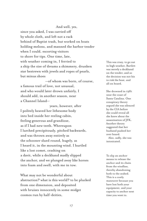And well, yes, since you asked, I was carried off by whole cloth, and left not a rack behind of Baptist trash, but worked on boats holding melons, and manned the harbor tender when I could, escorting visitors to shore for tips. One time, late, with weather coming in, I ferried to a ship the size of dreams a shimmery, drunken star bestrewn with jewels and ropes of pearls, but minus shoes

—of whom was born, of course, a famous trail of love, not unusual, and who would later drown unfairly, I should add, in another season, near a Channel Island—

years, however, after I politely heaved her lithesome body into bed inside her reeling cabin, feeling generous and grandiose, as if I had new teeth. Whereupon I lurched precipitously, pitched backwards, and was thrown away entirely as the schooner slued round, hugely, as I heard it, in the mounting wind. I hurtled like a lost comet, crashing on a davit, while a deckhand madly slipped the anchor, and we plunged away like horses into foam and swell, with me in tow.

What may not be wonderful about abstraction? what is this world? to be plucked from one dimension, and deposited with bruises innocently in some midget cosmos run by half-deities,

This was crazy, to go out in high weather. Bartlett was merely a deckhand on the tender, and so the decision was not his to risk the boat, and all on board.

She drowned in 1981 near the coast of Santa Catalina. One conspiracy theory argued she was silenced by the CIA before she could reveal all she knew about the assassination of JFK. Another theory suggested that her husband pushed her over board. Also, sadly, she was intoxicated.

To slip an anchor means to release the anchor and its chain from the windlass, thereby abandoning both to the seabed. This is a costly maneuver because you have lost both your equipment, and your capacity to anchor next time you want to.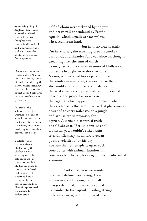As an aging king of England, Lear once enjoyed a related spectacle, whose thoughts were similarly affected. He had a pagan attitude, and welcomed the obliterating chance for vengeance.

Ocelots are commonly nocturnal, so Naomi was up running about at dusk, and during the night. When scenting their territory, ocelots squirt urine backwards, with admirable water pressure.

Insofar as the schooner had just weathered a violent squall, no one on the boat was interested in provoking anyone or anything into another storm. Just be cool.

Bartlett was an inconvenience. He had only the clothes he was wearing when he fell on board, as the schooner left. He had no place to bunk, no defined task, and ate like a starved horse from the finite stores onboard. So Naomi represented his chance for redemption.

half of whom were sickened by the yaw and ocean roll engendered by Pacific squalls—which usually are marvelous when seen from land,

but in their ardent midst, I'm here to say, the morning blew its smokes on board, and thunder followed close on thoughtexecuting fire, the sum of which de-magnetized the common sense of Hollywood. Someone brought an ocelot they called Naomi, who escaped her cage, and once the winds decayed a bit, the weather settled, she would climb the masts, and slink along the yard arms stalking sea birds as they roosted. Lavishly, she pissed backwards in the rigging, which appalled the yardmen when they reefed sails that simply reeked of pheromones designed to carry miles inside a jungle, and arouse erotic promise, for a price. A tactic old as war, if truth be told about it. If truth pertains at all. Honestly, you wouldn't either want to risk inflaming the illiterate ocean gods, a volatile lot by history, nor rub the nether spirits up to rock your bones with animal abandon, in your wooden shelter, bobbing on the insubstantial elements.

And since, to some minds, by closely defined reasoning, I was a stowaway, and hoping to have all charges dropped, I peaceably agreed to clamber to the topsails, trailing strings of bloody sausages, and lumps of steak,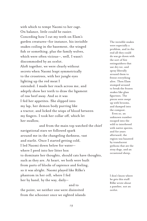with which to tempt Naomi to her cage. On balance, little could be easier. Conceding how I cut my teeth on Elam's garden creatures—for instance, his invisible snakes coiling in the basement, the winged fish or something, plus the family wolves, which were often vicious—, well, I wasn't discommoded by an ocelot. Aloft together, we were clearly without secrets when Naomi leapt symmetrically to the crosstrees, with her jungle eyes lighting up the red meat I extended. I made her reach across me, and adeptly show her teeth to draw the ligament of raw beef away. And so it was I fed her appetites. She slipped into my lap, her demon body purring like a tractor, and licked the wisps of blood between my fingers. I took her collar off, which let her swallow,

and from the main top watched the chief navigational stars we followed spark around me in the changeling darkness, vast and starlit. Once I started getting cold, I led Naomi down below for water where I peed into her litter box to dominate her thoughts, should cats have thoughts, such as they are. At heart, we both were built from parts of blocks of sapience and feeling, so it was alright. Naomi played like Rilke's phantom in her cell, where I fed her by hand, by the way, daily—

and to the point, we neither one were disinvited from the schooner once we sighted islands The invisible snakes were especially a problem, and in the end all they could do was go down with the sort of fire extinguishers that use dry ice, and spray liberally around them to freeze everything alive. Then Elam stomped around to break the frozen snakes like glass figurines. The pieces were swept up with brooms, and dumped into the compost. Even so, an unknown number escaped into the wild to interbreed with native species, and for years afterward, the region was haunted by translucent pythons that ate the stray dogs, and an occasional sheep.

I don't know where he gets this stuff: Rilke wrote about a panther, not an ocelot.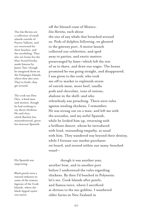The *Islas Marietas* are a collection of small islands outside of Puerto Vallarta, and are renowned for their beaches, and the snorkeling. They also are home for the blue-footed booby, made famous by James Tate—though he imagined them on the Galapagos Islands, where they also nest. They're birds: they get around.

The cook was Don Otto, a kind man and mentor, though he had nothing to say about chickens. He said *chicas,* which Bartlett has misunderstood, given his insecure Spanish.

His Spanish was improving.

Black pearls were a natural industry in some of the remote lagoons of the Cook Islands, where the black-lipped oyster was native.

off the blessed coast of Mexico: *Islas Marietas,* each about the size of any whale that breached around us. Pods of dolphin following, we ghosted to the gateway port. A motor launch collected our celebrities, and sped away to parties, and exotic matters prearranged by fame—which left the rest of us to shave, and draw our wages. The bosun promised he was going straight, and disappeared. I was given to the cook, who took me off to market to replenish stores of ostrich meat, more beef, vanilla pods and chocolate, tons of onions, abalone in the shell—and who relentlessly was preaching. There were rules against stealing chickens, I remember. He was strung out on a man, and left me with the avocados, and my awful Spanish, while he looked him up, returning with a brilliant dancer, whom he introduced with loud, resounding empathy, as usual with him. They wandered way beyond their destiny, while I foresaw our market purchases on board, and stowed within our many-benched vessel—

though it was another year, another boat, and in another port before I understood the rules regarding chickens. By then I'd beached in Polynesia: let's see, Cook Islands after pearls, and Samoa twice, where I sacrificed at shrines to the sea-goblins. I weathered older furies in New Zealand in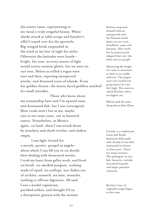the winter rains, representing to my mind a truly vengeful beauty. White sharks struck at table scraps and butcher's offal I tossed over for the spectacle. Big-winged birds suspended in the wind in my line of sight for miles. Otherwise the latitudes were lonely bright, for sure, as every source of light would scatter oceanic glitter, but we were on our own. Below us rolled a rogue wave now and then, exposing unexpected wrecks, and drowned roots of islands. From her golden throne, the moon-faced goddess watched for small mistakes.

Those who know about my seamanship have said I'm upward man, and downward fish, but I was unresigned. Most cooks aren't lost at sea, maybe one in ten some years, out in haunted waters. Nonetheless, in Mexico again, on land, when I was struck down by treachery and shark ceviche, and shaken empty,

I was light-footed for a month, pyretic, purged as angels about which I can fill you in on details later dealing with denatured worms. I took my leave from galley work, and lived on broth, no smoked penguin, nothing made of squid, no scallops, nor dishes out of urchins, seaweed, sea bass, tentacles, nothing to affront digestion. All said, I was a model vegetarian, purified within, and thought I'd try a therapeutic gesture with the mutant

Bartlett surprised himself with an unexpected taste for Samoan foods, heavy on taro root, breadfruit, yams and bananas. Also turtle, but he pretty much skipped that one: the meat was too purple.

Measuring the height of a wave is uncertain as there is no stable referent. The largest wave ever surfed was proposed to be 100 feet high. The waves to which Bartlett refers are higher yet.

Milton said the same thing about John Elam.

Ceviche is a traditional Latin and South American dish made with chunks of raw fish marinated in lemon or lime juice. There are many variants. The pathogens in raw fish, however, include microbial hazards, and larger parasitic creatures.

Bartlett's love of vegetable soups began at this time.